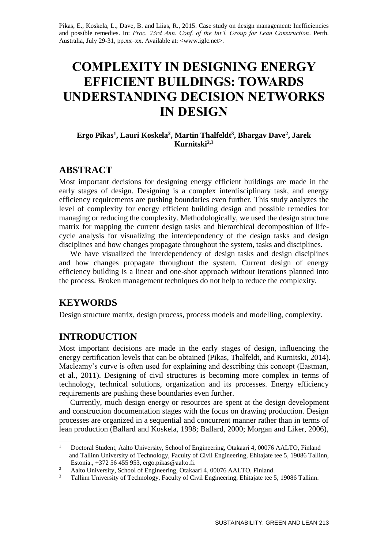Pikas, E., Koskela, L., Dave, B. and Liias, R., 2015. Case study on design management: Inefficiencies and possible remedies. In: *Proc. 23rd Ann. Conf. of the Int'l. Group for Lean Construction*. Perth. Australia, July 29-31, pp.xx–xx. Available at: <www.iglc.net>.

# **COMPLEXITY IN DESIGNING ENERGY EFFICIENT BUILDINGS: TOWARDS UNDERSTANDING DECISION NETWORKS IN DESIGN**

#### **Ergo Pikas<sup>1</sup> , Lauri Koskela<sup>2</sup> , Martin Thalfeldt<sup>3</sup> , Bhargav Dave<sup>2</sup> , Jarek Kurnitski2,3**

# **ABSTRACT**

Most important decisions for designing energy efficient buildings are made in the early stages of design. Designing is a complex interdisciplinary task, and energy efficiency requirements are pushing boundaries even further. This study analyzes the level of complexity for energy efficient building design and possible remedies for managing or reducing the complexity. Methodologically, we used the design structure matrix for mapping the current design tasks and hierarchical decomposition of lifecycle analysis for visualizing the interdependency of the design tasks and design disciplines and how changes propagate throughout the system, tasks and disciplines.

We have visualized the interdependency of design tasks and design disciplines and how changes propagate throughout the system. Current design of energy efficiency building is a linear and one-shot approach without iterations planned into the process. Broken management techniques do not help to reduce the complexity.

# **KEYWORDS**

-

Design structure matrix, design process, process models and modelling, complexity.

# **INTRODUCTION**

Most important decisions are made in the early stages of design, influencing the energy certification levels that can be obtained (Pikas, Thalfeldt, and Kurnitski, 2014). Macleamy's curve is often used for explaining and describing this concept (Eastman, et al., 2011). Designing of civil structures is becoming more complex in terms of technology, technical solutions, organization and its processes. Energy efficiency requirements are pushing these boundaries even further.

Currently, much design energy or resources are spent at the design development and construction documentation stages with the focus on drawing production. Design processes are organized in a sequential and concurrent manner rather than in terms of lean production (Ballard and Koskela, 1998; Ballard, 2000; Morgan and Liker, 2006),

<sup>1</sup> Doctoral Student, Aalto University, School of Engineering, Otakaari 4, 00076 AALTO, Finland and Tallinn University of Technology, Faculty of Civil Engineering, Ehitajate tee 5, 19086 Tallinn, Estonia., +372 56 455 953, ergo.pikas@aalto.fi.

<sup>&</sup>lt;sup>2</sup> Aalto University, School of Engineering, Otakaari 4, 00076 AALTO, Finland.

<sup>3</sup> Tallinn University of Technology, Faculty of Civil Engineering, Ehitajate tee 5, 19086 Tallinn.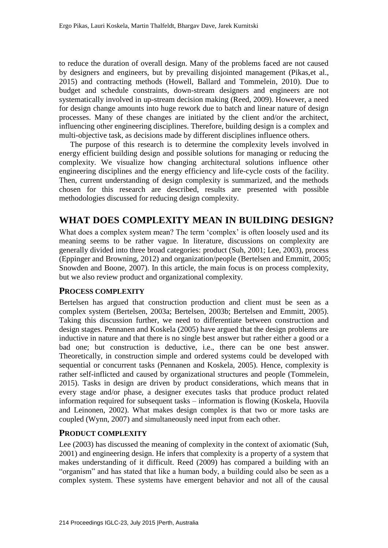to reduce the duration of overall design. Many of the problems faced are not caused by designers and engineers, but by prevailing disjointed management (Pikas,et al., 2015) and contracting methods (Howell, Ballard and Tommelein, 2010). Due to budget and schedule constraints, down-stream designers and engineers are not systematically involved in up-stream decision making (Reed, 2009). However, a need for design change amounts into huge rework due to batch and linear nature of design processes. Many of these changes are initiated by the client and/or the architect, influencing other engineering disciplines. Therefore, building design is a complex and multi-objective task, as decisions made by different disciplines influence others.

The purpose of this research is to determine the complexity levels involved in energy efficient building design and possible solutions for managing or reducing the complexity. We visualize how changing architectural solutions influence other engineering disciplines and the energy efficiency and life-cycle costs of the facility. Then, current understanding of design complexity is summarized, and the methods chosen for this research are described, results are presented with possible methodologies discussed for reducing design complexity.

# **WHAT DOES COMPLEXITY MEAN IN BUILDING DESIGN?**

What does a complex system mean? The term 'complex' is often loosely used and its meaning seems to be rather vague. In literature, discussions on complexity are generally divided into three broad categories: product (Suh, 2001; Lee, 2003), process (Eppinger and Browning, 2012) and organization/people (Bertelsen and Emmitt, 2005; Snowden and Boone, 2007). In this article, the main focus is on process complexity, but we also review product and organizational complexity.

#### **PROCESS COMPLEXITY**

Bertelsen has argued that construction production and client must be seen as a complex system (Bertelsen, 2003a; Bertelsen, 2003b; Bertelsen and Emmitt, 2005). Taking this discussion further, we need to differentiate between construction and design stages. Pennanen and Koskela (2005) have argued that the design problems are inductive in nature and that there is no single best answer but rather either a good or a bad one; but construction is deductive, i.e., there can be one best answer. Theoretically, in construction simple and ordered systems could be developed with sequential or concurrent tasks (Pennanen and Koskela, 2005). Hence, complexity is rather self-inflicted and caused by organizational structures and people (Tommelein, 2015). Tasks in design are driven by product considerations, which means that in every stage and/or phase, a designer executes tasks that produce product related information required for subsequent tasks – information is flowing (Koskela, Huovila and Leinonen, 2002). What makes design complex is that two or more tasks are coupled (Wynn, 2007) and simultaneously need input from each other.

#### **PRODUCT COMPLEXITY**

Lee (2003) has discussed the meaning of complexity in the context of axiomatic (Suh, 2001) and engineering design. He infers that complexity is a property of a system that makes understanding of it difficult. Reed (2009) has compared a building with an "organism" and has stated that like a human body, a building could also be seen as a complex system. These systems have emergent behavior and not all of the causal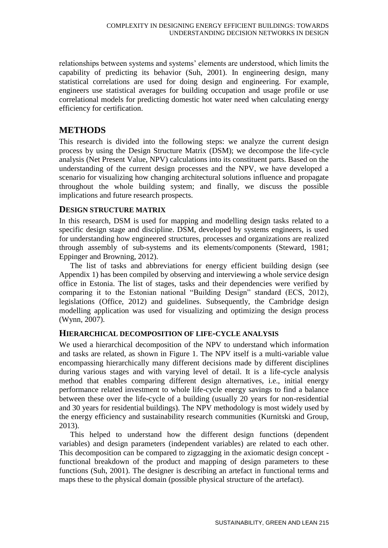relationships between systems and systems' elements are understood, which limits the capability of predicting its behavior (Suh, 2001). In engineering design, many statistical correlations are used for doing design and engineering. For example, engineers use statistical averages for building occupation and usage profile or use correlational models for predicting domestic hot water need when calculating energy efficiency for certification.

### **METHODS**

This research is divided into the following steps: we analyze the current design process by using the Design Structure Matrix (DSM); we decompose the life-cycle analysis (Net Present Value, NPV) calculations into its constituent parts. Based on the understanding of the current design processes and the NPV, we have developed a scenario for visualizing how changing architectural solutions influence and propagate throughout the whole building system; and finally, we discuss the possible implications and future research prospects.

#### **DESIGN STRUCTURE MATRIX**

In this research, DSM is used for mapping and modelling design tasks related to a specific design stage and discipline. DSM, developed by systems engineers, is used for understanding how engineered structures, processes and organizations are realized through assembly of sub-systems and its elements/components (Steward, 1981; Eppinger and Browning, 2012).

The list of tasks and abbreviations for energy efficient building design (see Appendix 1) has been compiled by observing and interviewing a whole service design office in Estonia. The list of stages, tasks and their dependencies were verified by comparing it to the Estonian national "Building Design" standard (ECS, 2012), legislations (Office, 2012) and guidelines. Subsequently, the Cambridge design modelling application was used for visualizing and optimizing the design process (Wynn, 2007).

#### **HIERARCHICAL DECOMPOSITION OF LIFE-CYCLE ANALYSIS**

We used a hierarchical decomposition of the NPV to understand which information and tasks are related, as shown in Figure 1. The NPV itself is a multi-variable value encompassing hierarchically many different decisions made by different disciplines during various stages and with varying level of detail. It is a life-cycle analysis method that enables comparing different design alternatives, i.e., initial energy performance related investment to whole life-cycle energy savings to find a balance between these over the life-cycle of a building (usually 20 years for non-residential and 30 years for residential buildings). The NPV methodology is most widely used by the energy efficiency and sustainability research communities (Kurnitski and Group, 2013).

This helped to understand how the different design functions (dependent variables) and design parameters (independent variables) are related to each other. This decomposition can be compared to zigzagging in the axiomatic design concept functional breakdown of the product and mapping of design parameters to these functions (Suh, 2001). The designer is describing an artefact in functional terms and maps these to the physical domain (possible physical structure of the artefact).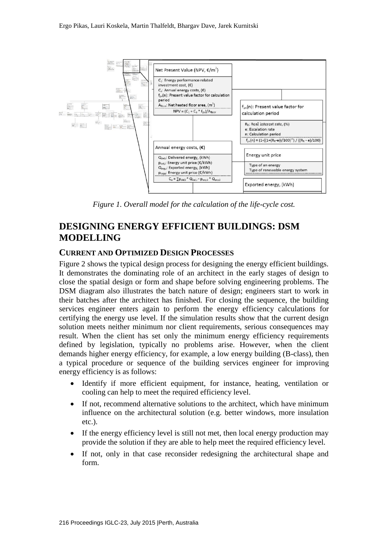

*Figure 1. Overall model for the calculation of the life-cycle cost.*

# **DESIGNING ENERGY EFFICIENT BUILDINGS: DSM MODELLING**

#### **CURRENT AND OPTIMIZED DESIGN PROCESSES**

Figure 2 shows the typical design process for designing the energy efficient buildings. It demonstrates the dominating role of an architect in the early stages of design to close the spatial design or form and shape before solving engineering problems. The DSM diagram also illustrates the batch nature of design; engineers start to work in their batches after the architect has finished. For closing the sequence, the building services engineer enters again to perform the energy efficiency calculations for certifying the energy use level. If the simulation results show that the current design solution meets neither minimum nor client requirements, serious consequences may result. When the client has set only the minimum energy efficiency requirements defined by legislation, typically no problems arise. However, when the client demands higher energy efficiency, for example, a low energy building (B-class), then a typical procedure or sequence of the building services engineer for improving energy efficiency is as follows:

- Identify if more efficient equipment, for instance, heating, ventilation or cooling can help to meet the required efficiency level.
- If not, recommend alternative solutions to the architect, which have minimum influence on the architectural solution (e.g. better windows, more insulation etc.).
- If the energy efficiency level is still not met, then local energy production may provide the solution if they are able to help meet the required efficiency level.
- If not, only in that case reconsider redesigning the architectural shape and form.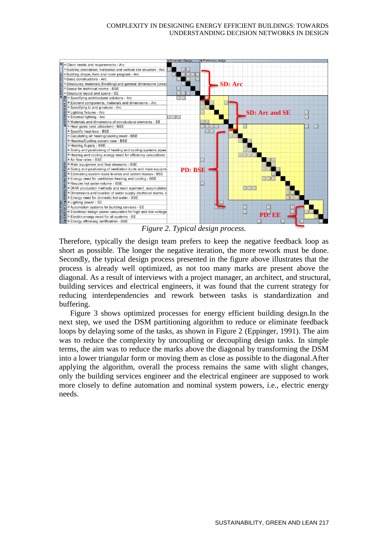

*Figure 2. Typical design process.*

Therefore, typically the design team prefers to keep the negative feedback loop as short as possible. The longer the negative iteration, the more rework must be done. Secondly, the typical design process presented in the figure above illustrates that the process is already well optimized, as not too many marks are present above the diagonal. As a result of interviews with a project manager, an architect, and structural, building services and electrical engineers, it was found that the current strategy for reducing interdependencies and rework between tasks is standardization and buffering.

Figure 3 shows optimized processes for energy efficient building design.In the next step, we used the DSM partitioning algorithm to reduce or eliminate feedback loops by delaying some of the tasks, as shown in Figure 2 (Eppinger, 1991). The aim was to reduce the complexity by uncoupling or decoupling design tasks. In simple terms, the aim was to reduce the marks above the diagonal by transforming the DSM into a lower triangular form or moving them as close as possible to the diagonal.After applying the algorithm, overall the process remains the same with slight changes, only the building services engineer and the electrical engineer are supposed to work more closely to define automation and nominal system powers, i.e., electric energy needs.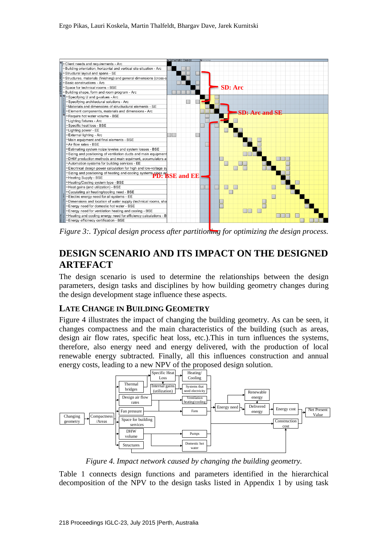

*Figure 3:. Typical design process after partitioning for optimizing the design process.*

# **DESIGN SCENARIO AND ITS IMPACT ON THE DESIGNED ARTEFACT**

The design scenario is used to determine the relationships between the design parameters, design tasks and disciplines by how building geometry changes during the design development stage influence these aspects.

### **LATE CHANGE IN BUILDING GEOMETRY**

Figure 4 illustrates the impact of changing the building geometry. As can be seen, it changes compactness and the main characteristics of the building (such as areas, design air flow rates, specific heat loss, etc.).This in turn influences the systems, therefore, also energy need and energy delivered, with the production of local renewable energy subtracted. Finally, all this influences construction and annual energy costs, leading to a new NPV of the proposed design solution.



*Figure 4. Impact network caused by changing the building geometry.*

Table 1 connects design functions and parameters identified in the hierarchical decomposition of the NPV to the design tasks listed in Appendix 1 by using task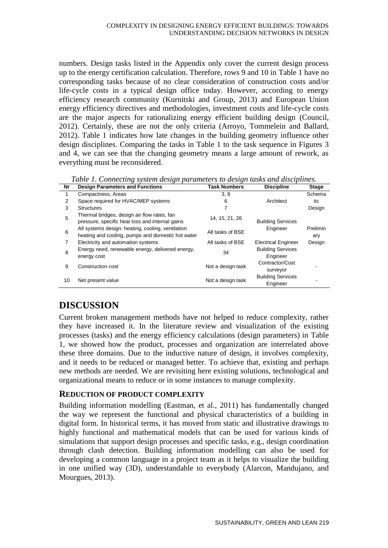numbers. Design tasks listed in the Appendix only cover the current design process up to the energy certification calculation. Therefore, rows 9 and 10 in Table 1 have no corresponding tasks because of no clear consideration of construction costs and/or life-cycle costs in a typical design office today. However, according to energy efficiency research community (Kurnitski and Group, 2013) and European Union energy efficiency directives and methodologies, investment costs and life-cycle costs are the major aspects for rationalizing energy efficient building design (Council, 2012). Certainly, these are not the only criteria (Arroyo, Tommelein and Ballard, 2012). Table 1 indicates how late changes in the building geometry influence other design disciplines. Comparing the tasks in Table 1 to the task sequence in Figures 3 and 4, we can see that the changing geometry means a large amount of rework, as everything must be reconsidered.

*Table 1. Connecting system design parameters to design tasks and disciplines.* **Nr Design Parameters and Functions Task Numbers Discipline Stage** 1 Compactness, Areas 3, 8 Architect **Schema** tic Design 2 Space required for HVAC/MEP systems 6 3 Structures 7 5 Thermal bridges, design air flow rates, fan pressure, specific heat loss and internal gains 14, 15, 21, 26 Building Services Engineer Prelimin ary Design 6 All systems design: heating, cooling, ventilation All systems design. Heating, cooling, verification<br>heating and cooling, pumps and domestic hot water 7 Electricity and automation systems **All tasks of BSE** Electrical Engineer 8 Energy need, renewable energy, delivered energy,  $\begin{array}{ccc} 34 & \text{Buiding Services} \end{array}$ **Engineer** 9 Construction cost 2008 and 2009 Not a design task Contractor/Cost surveyor - 10 Net present value Not a design task Building Services Engineer

# **DISCUSSION**

Current broken management methods have not helped to reduce complexity, rather they have increased it. In the literature review and visualization of the existing processes (tasks) and the energy efficiency calculations (design parameters) in Table 1, we showed how the product, processes and organization are interrelated above these three domains. Due to the inductive nature of design, it involves complexity, and it needs to be reduced or managed better. To achieve that, existing and perhaps new methods are needed. We are revisiting here existing solutions, technological and organizational means to reduce or in some instances to manage complexity.

#### **REDUCTION OF PRODUCT COMPLEXITY**

Building information modelling (Eastman, et al., 2011) has fundamentally changed the way we represent the functional and physical characteristics of a building in digital form. In historical terms, it has moved from static and illustrative drawings to highly functional and mathematical models that can be used for various kinds of simulations that support design processes and specific tasks, e.g., design coordination through clash detection. Building information modelling can also be used for developing a common language in a project team as it helps to visualize the building in one unified way (3D), understandable to everybody (Alarcon, Mandujano, and Mourgues, 2013).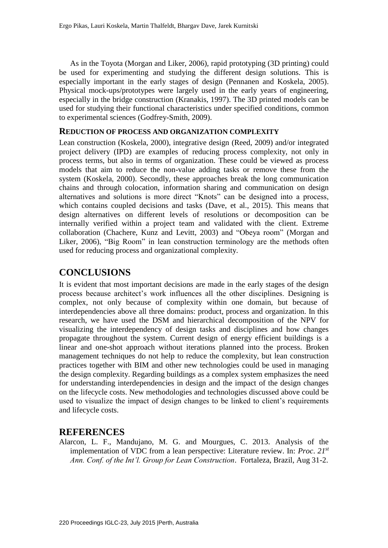As in the Toyota (Morgan and Liker, 2006), rapid prototyping (3D printing) could be used for experimenting and studying the different design solutions. This is especially important in the early stages of design (Pennanen and Koskela, 2005). Physical mock-ups/prototypes were largely used in the early years of engineering, especially in the bridge construction (Kranakis, 1997). The 3D printed models can be used for studying their functional characteristics under specified conditions, common to experimental sciences (Godfrey-Smith, 2009).

#### **REDUCTION OF PROCESS AND ORGANIZATION COMPLEXITY**

Lean construction (Koskela, 2000), integrative design (Reed, 2009) and/or integrated project delivery (IPD) are examples of reducing process complexity, not only in process terms, but also in terms of organization. These could be viewed as process models that aim to reduce the non-value adding tasks or remove these from the system (Koskela, 2000). Secondly, these approaches break the long communication chains and through colocation, information sharing and communication on design alternatives and solutions is more direct "Knots" can be designed into a process, which contains coupled decisions and tasks (Dave, et al., 2015). This means that design alternatives on different levels of resolutions or decomposition can be internally verified within a project team and validated with the client. Extreme collaboration (Chachere, Kunz and Levitt, 2003) and "Obeya room" (Morgan and Liker, 2006), "Big Room" in lean construction terminology are the methods often used for reducing process and organizational complexity.

# **CONCLUSIONS**

It is evident that most important decisions are made in the early stages of the design process because architect's work influences all the other disciplines. Designing is complex, not only because of complexity within one domain, but because of interdependencies above all three domains: product, process and organization. In this research, we have used the DSM and hierarchical decomposition of the NPV for visualizing the interdependency of design tasks and disciplines and how changes propagate throughout the system. Current design of energy efficient buildings is a linear and one-shot approach without iterations planned into the process. Broken management techniques do not help to reduce the complexity, but lean construction practices together with BIM and other new technologies could be used in managing the design complexity. Regarding buildings as a complex system emphasizes the need for understanding interdependencies in design and the impact of the design changes on the lifecycle costs. New methodologies and technologies discussed above could be used to visualize the impact of design changes to be linked to client's requirements and lifecycle costs.

### **REFERENCES**

Alarcon, L. F., Mandujano, M. G. and Mourgues, C. 2013. Analysis of the implementation of VDC from a lean perspective: Literature review. In: *Proc*. *21st Ann. Conf. of the Int'l. Group for Lean Construction*. Fortaleza, Brazil, Aug 31-2.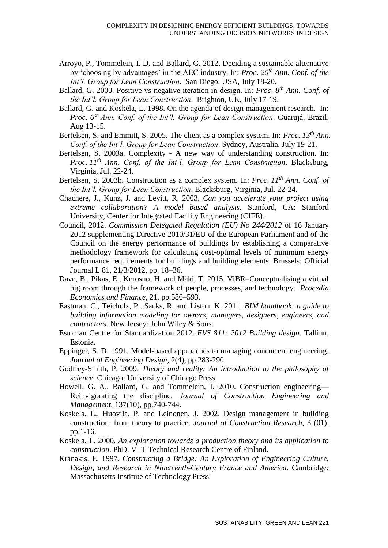- Arroyo, P., Tommelein, I. D. and Ballard, G. 2012. Deciding a sustainable alternative by 'choosing by advantages' in the AEC industry. In: *Proc*. *20th Ann. Conf. of the Int'l. Group for Lean Construction*. San Diego, USA, July 18-20.
- Ballard, G. 2000. Positive vs negative iteration in design. In: *Proc*. *8 th Ann. Conf. of the Int'l. Group for Lean Construction*. Brighton, UK, July 17-19.
- Ballard, G. and Koskela, L. 1998. On the agenda of design management research. In: *Proc*. *6 st Ann. Conf. of the Int'l. Group for Lean Construction*. Guarujá, Brazil, Aug 13-15.
- Bertelsen, S. and Emmitt, S. 2005. The client as a complex system. In: *Proc*. *13th Ann. Conf. of the Int'l. Group for Lean Construction*. Sydney, Australia, July 19-21.
- Bertelsen, S. 2003a. Complexity A new way of understanding construction. In: *Proc*. *11th Ann. Conf. of the Int'l. Group for Lean Construction*. Blacksburg, Virginia, Jul. 22-24.
- Bertelsen, S. 2003b. Construction as a complex system. In: *Proc*. *11th Ann. Conf. of the Int'l. Group for Lean Construction*. Blacksburg, Virginia, Jul. 22-24.
- Chachere, J., Kunz, J. and Levitt, R. 2003. *Can you accelerate your project using extreme collaboration? A model based analysis.* Stanford, CA: Stanford University, Center for Integrated Facility Engineering (CIFE).
- Council, 2012. *Commission Delegated Regulation (EU) No 244/2012* of 16 January 2012 supplementing Directive 2010/31/EU of the European Parliament and of the Council on the energy performance of buildings by establishing a comparative methodology framework for calculating cost-optimal levels of minimum energy performance requirements for buildings and building elements. Brussels: Official Journal L 81, 21/3/2012, pp. 18–36.
- Dave, B., Pikas, E., Kerosuo, H. and Mäki, T. 2015. ViBR–Conceptualising a virtual big room through the framework of people, processes, and technology. *Procedia Economics and Finance*, 21, pp.586–593.
- Eastman, C., Teicholz, P., Sacks, R. and Liston, K. 2011. *BIM handbook: a guide to building information modeling for owners, managers, designers, engineers, and contractors.* New Jersey: John Wiley & Sons.
- Estonian Centre for Standardization 2012. *EVS 811: 2012 Building design*. Tallinn, Estonia.
- Eppinger, S. D. 1991. Model-based approaches to managing concurrent engineering. *Journal of Engineering Design*, 2(4), pp.283-290.
- Godfrey-Smith, P. 2009. *Theory and reality: An introduction to the philosophy of science*. Chicago: University of Chicago Press.
- Howell, G. A., Ballard, G. and Tommelein, I. 2010. Construction engineering— Reinvigorating the discipline. *Journal of Construction Engineering and Management*, 137(10), pp.740-744.
- Koskela, L., Huovila, P. and Leinonen, J. 2002. Design management in building construction: from theory to practice. *Journal of Construction Research,* 3 (01), pp.1-16.
- Koskela, L. 2000. *An exploration towards a production theory and its application to construction*. PhD. VTT Technical Research Centre of Finland.
- Kranakis, E. 1997. *Constructing a Bridge: An Exploration of Engineering Culture, Design, and Research in Nineteenth-Century France and America*. Cambridge: Massachusetts Institute of Technology Press.